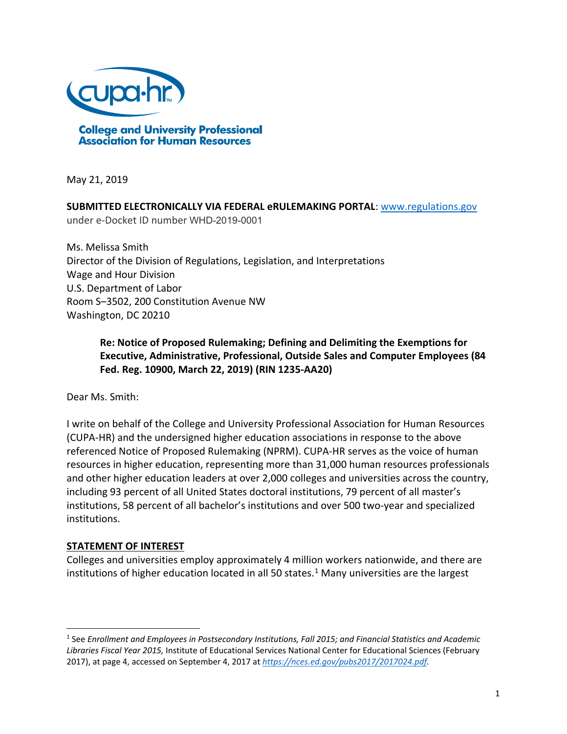

May 21, 2019

**SUBMITTED ELECTRONICALLY VIA FEDERAL eRULEMAKING PORTAL**: [www.regulations.gov](http://www.regulations.gov/) under e-Docket ID number WHD-2019-0001

Ms. Melissa Smith Director of the Division of Regulations, Legislation, and Interpretations Wage and Hour Division U.S. Department of Labor Room S–3502, 200 Constitution Avenue NW Washington, DC 20210

> **Re: Notice of Proposed Rulemaking; Defining and Delimiting the Exemptions for Executive, Administrative, Professional, Outside Sales and Computer Employees (84 Fed. Reg. 10900, March 22, 2019) (RIN 1235-AA20)**

Dear Ms. Smith:

I write on behalf of the College and University Professional Association for Human Resources (CUPA-HR) and the undersigned higher education associations in response to the above referenced Notice of Proposed Rulemaking (NPRM). CUPA-HR serves as the voice of human resources in higher education, representing more than 31,000 human resources professionals and other higher education leaders at over 2,000 colleges and universities across the country, including 93 percent of all United States doctoral institutions, 79 percent of all master's institutions, 58 percent of all bachelor's institutions and over 500 two-year and specialized institutions.

### **STATEMENT OF INTEREST**

 $\overline{a}$ 

Colleges and universities employ approximately 4 million workers nationwide, and there are institutions of higher education located in all 50 states. $1$  Many universities are the largest

<span id="page-0-0"></span><sup>1</sup> See *Enrollment and Employees in Postsecondary Institutions, Fall 2015; and Financial Statistics and Academic Libraries Fiscal Year 2015,* Institute of Educational Services National Center for Educational Sciences (February 2017), at page 4, accessed on September 4, 2017 at *[https://nces.ed.gov/pubs2017/2017024.pdf.](https://nces.ed.gov/pubs2017/2017024.pdf)*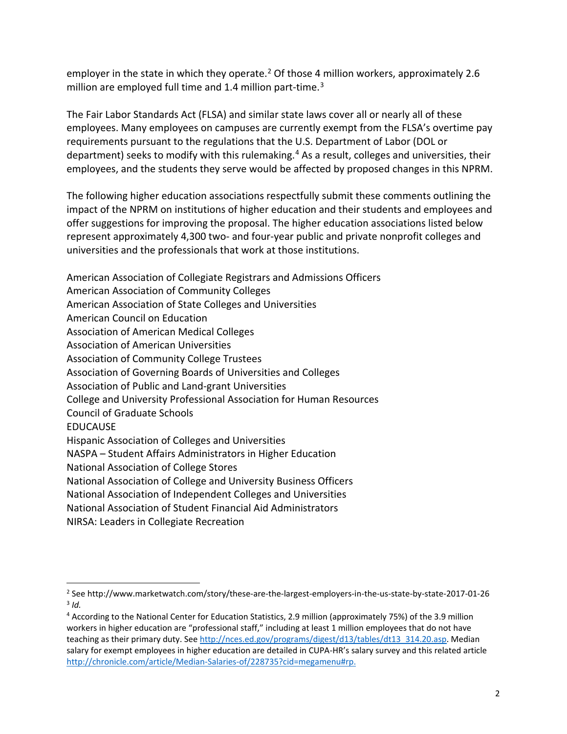employer in the state in which they operate.<sup>[2](#page-1-0)</sup> Of those 4 million workers, approximately 2.6 million are employed full time and 1.4 million part-time.<sup>[3](#page-1-1)</sup>

The Fair Labor Standards Act (FLSA) and similar state laws cover all or nearly all of these employees. Many employees on campuses are currently exempt from the FLSA's overtime pay requirements pursuant to the regulations that the U.S. Department of Labor (DOL or department) seeks to modify with this rulemaking. [4](#page-1-2) As a result, colleges and universities, their employees, and the students they serve would be affected by proposed changes in this NPRM.

The following higher education associations respectfully submit these comments outlining the impact of the NPRM on institutions of higher education and their students and employees and offer suggestions for improving the proposal. The higher education associations listed below represent approximately 4,300 two- and four-year public and private nonprofit colleges and universities and the professionals that work at those institutions.

American Association of Collegiate Registrars and Admissions Officers American Association of Community Colleges American Association of State Colleges and Universities American Council on Education Association of American Medical Colleges Association of American Universities Association of Community College Trustees Association of Governing Boards of Universities and Colleges Association of Public and Land-grant Universities College and University Professional Association for Human Resources Council of Graduate Schools EDUCAUSE Hispanic Association of Colleges and Universities NASPA – Student Affairs Administrators in Higher Education National Association of College Stores National Association of College and University Business Officers National Association of Independent Colleges and Universities National Association of Student Financial Aid Administrators

NIRSA: Leaders in Collegiate Recreation

 $\overline{a}$ 

<span id="page-1-1"></span><span id="page-1-0"></span><sup>2</sup> See http://www.marketwatch.com/story/these-are-the-largest-employers-in-the-us-state-by-state-2017-01-26 <sup>3</sup> *Id.*

<span id="page-1-2"></span><sup>4</sup> According to the National Center for Education Statistics, 2.9 million (approximately 75%) of the 3.9 million workers in higher education are "professional staff," including at least 1 million employees that do not have teaching as their primary duty. See [http://nces.ed.gov/programs/digest/d13/tables/dt13\\_314.20.asp.](http://nces.ed.gov/programs/digest/d13/tables/dt13_314.20.asp) Median salary for exempt employees in higher education are detailed in CUPA-HR's salary survey and this related article [http://chronicle.com/article/Median-Salaries-of/228735?cid=megamenu#rp.](http://chronicle.com/article/Median-Salaries-of/228735?cid=megamenu#rp)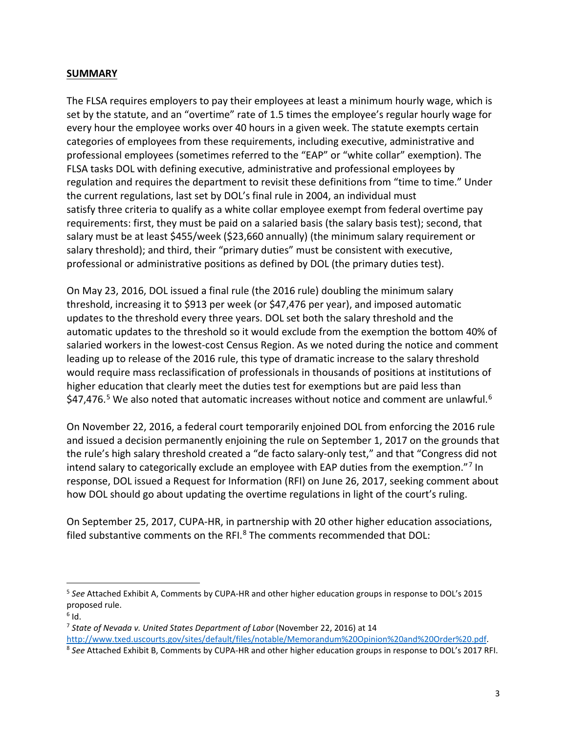### **SUMMARY**

The FLSA requires employers to pay their employees at least a minimum hourly wage, which is set by the statute, and an "overtime" rate of 1.5 times the employee's regular hourly wage for every hour the employee works over 40 hours in a given week. The statute exempts certain categories of employees from these requirements, including executive, administrative and professional employees (sometimes referred to the "EAP" or "white collar" exemption). The FLSA tasks DOL with defining executive, administrative and professional employees by regulation and requires the department to revisit these definitions from "time to time." Under the current regulations, last set by DOL's final rule in 2004, an individual must satisfy three criteria to qualify as a white collar employee exempt from federal overtime pay requirements: first, they must be paid on a salaried basis (the salary basis test); second, that salary must be at least \$455/week (\$23,660 annually) (the minimum salary requirement or salary threshold); and third, their "primary duties" must be consistent with executive, professional or administrative positions as defined by DOL (the primary duties test).

On May 23, 2016, DOL issued a final rule (the 2016 rule) doubling the minimum salary threshold, increasing it to \$913 per week (or \$47,476 per year), and imposed automatic updates to the threshold every three years. DOL set both the salary threshold and the automatic updates to the threshold so it would exclude from the exemption the bottom 40% of salaried workers in the lowest-cost Census Region. As we noted during the notice and comment leading up to release of the 2016 rule, this type of dramatic increase to the salary threshold would require mass reclassification of professionals in thousands of positions at institutions of higher education that clearly meet the duties test for exemptions but are paid less than \$47,476.<sup>[5](#page-2-0)</sup> We also noted that automatic increases without notice and comment are unlawful.<sup>[6](#page-2-1)</sup>

On November 22, 2016, a federal court temporarily enjoined DOL from enforcing the 2016 rule and issued a decision permanently enjoining the rule on September 1, 2017 on the grounds that the rule's high salary threshold created a "de facto salary-only test," and that "Congress did not intend salary to categorically exclude an employee with EAP duties from the exemption."[7](#page-2-2) In response, DOL issued a Request for Information (RFI) on June 26, 2017, seeking comment about how DOL should go about updating the overtime regulations in light of the court's ruling.

On September 25, 2017, CUPA-HR, in partnership with 20 other higher education associations, filed substantive comments on the RFI.<sup>[8](#page-2-3)</sup> The comments recommended that DOL:

<span id="page-2-0"></span> $\overline{a}$ <sup>5</sup> *See* Attached Exhibit A, Comments by CUPA-HR and other higher education groups in response to DOL's 2015 proposed rule.<br><sup>6</sup> Id.

<span id="page-2-1"></span>

<span id="page-2-2"></span><sup>7</sup> *State of Nevada v. United States Department of Labor* (November 22, 2016) at 14

[http://www.txed.uscourts.gov/sites/default/files/notable/Memorandum%20Opinion%20and%20Order%20.pdf.](http://www.txed.uscourts.gov/sites/default/files/notable/Memorandum%20Opinion%20and%20Order%20.pdf) 8 *See* Attached Exhibit B, Comments by CUPA-HR and other higher education groups in response to DOL's 2017 RFI.

<span id="page-2-3"></span>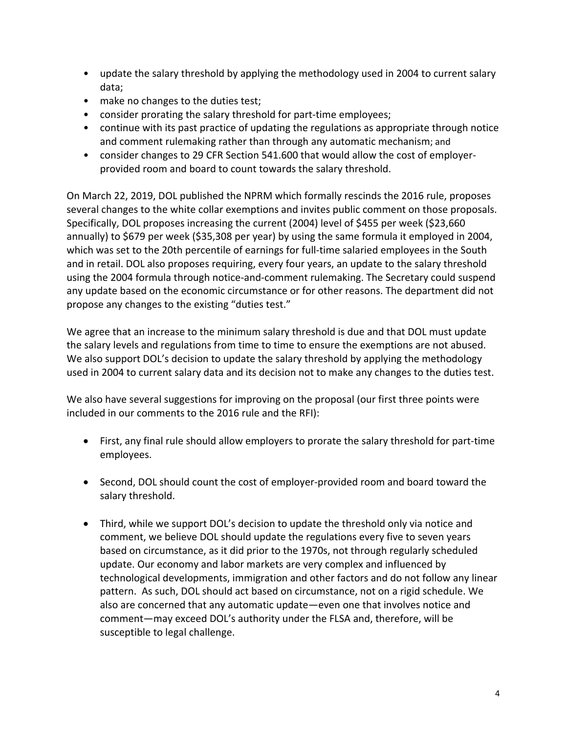- update the salary threshold by applying the methodology used in 2004 to current salary data;
- make no changes to the duties test;
- consider prorating the salary threshold for part-time employees;
- continue with its past practice of updating the regulations as appropriate through notice and comment rulemaking rather than through any automatic mechanism; and
- consider changes to 29 CFR Section 541.600 that would allow the cost of employerprovided room and board to count towards the salary threshold.

On March 22, 2019, DOL published the NPRM which formally rescinds the 2016 rule, proposes several changes to the white collar exemptions and invites public comment on those proposals. Specifically, DOL proposes increasing the current (2004) level of \$455 per week (\$23,660 annually) to \$679 per week (\$35,308 per year) by using the same formula it employed in 2004, which was set to the 20th percentile of earnings for full-time salaried employees in the South and in retail. DOL also proposes requiring, every four years, an update to the salary threshold using the 2004 formula through notice-and-comment rulemaking. The Secretary could suspend any update based on the economic circumstance or for other reasons. The department did not propose any changes to the existing "duties test."

We agree that an increase to the minimum salary threshold is due and that DOL must update the salary levels and regulations from time to time to ensure the exemptions are not abused. We also support DOL's decision to update the salary threshold by applying the methodology used in 2004 to current salary data and its decision not to make any changes to the duties test.

We also have several suggestions for improving on the proposal (our first three points were included in our comments to the 2016 rule and the RFI):

- First, any final rule should allow employers to prorate the salary threshold for part-time employees.
- Second, DOL should count the cost of employer-provided room and board toward the salary threshold.
- Third, while we support DOL's decision to update the threshold only via notice and comment, we believe DOL should update the regulations every five to seven years based on circumstance, as it did prior to the 1970s, not through regularly scheduled update. Our economy and labor markets are very complex and influenced by technological developments, immigration and other factors and do not follow any linear pattern. As such, DOL should act based on circumstance, not on a rigid schedule. We also are concerned that any automatic update—even one that involves notice and comment—may exceed DOL's authority under the FLSA and, therefore, will be susceptible to legal challenge.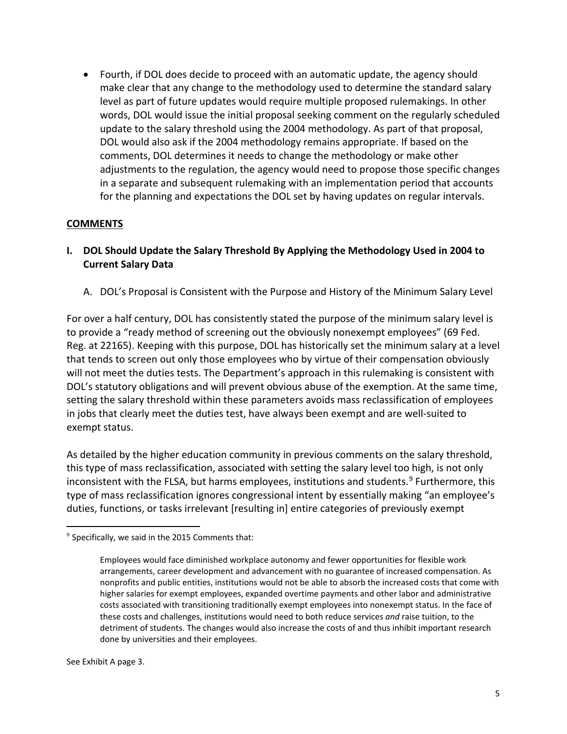• Fourth, if DOL does decide to proceed with an automatic update, the agency should make clear that any change to the methodology used to determine the standard salary level as part of future updates would require multiple proposed rulemakings. In other words, DOL would issue the initial proposal seeking comment on the regularly scheduled update to the salary threshold using the 2004 methodology. As part of that proposal, DOL would also ask if the 2004 methodology remains appropriate. If based on the comments, DOL determines it needs to change the methodology or make other adjustments to the regulation, the agency would need to propose those specific changes in a separate and subsequent rulemaking with an implementation period that accounts for the planning and expectations the DOL set by having updates on regular intervals.

## **COMMENTS**

- **I. DOL Should Update the Salary Threshold By Applying the Methodology Used in 2004 to Current Salary Data**
	- A. DOL's Proposal is Consistent with the Purpose and History of the Minimum Salary Level

For over a half century, DOL has consistently stated the purpose of the minimum salary level is to provide a "ready method of screening out the obviously nonexempt employees" (69 Fed. Reg. at 22165). Keeping with this purpose, DOL has historically set the minimum salary at a level that tends to screen out only those employees who by virtue of their compensation obviously will not meet the duties tests. The Department's approach in this rulemaking is consistent with DOL's statutory obligations and will prevent obvious abuse of the exemption. At the same time, setting the salary threshold within these parameters avoids mass reclassification of employees in jobs that clearly meet the duties test, have always been exempt and are well-suited to exempt status.

As detailed by the higher education community in previous comments on the salary threshold, this type of mass reclassification, associated with setting the salary level too high, is not only inconsistent with the FLSA, but harms employees, institutions and students.<sup>[9](#page-4-0)</sup> Furthermore, this type of mass reclassification ignores congressional intent by essentially making "an employee's duties, functions, or tasks irrelevant [resulting in] entire categories of previously exempt

<span id="page-4-0"></span> $9$  Specifically, we said in the 2015 Comments that:

Employees would face diminished workplace autonomy and fewer opportunities for flexible work arrangements, career development and advancement with no guarantee of increased compensation. As nonprofits and public entities, institutions would not be able to absorb the increased costs that come with higher salaries for exempt employees, expanded overtime payments and other labor and administrative costs associated with transitioning traditionally exempt employees into nonexempt status. In the face of these costs and challenges, institutions would need to both reduce services *and* raise tuition, to the detriment of students. The changes would also increase the costs of and thus inhibit important research done by universities and their employees.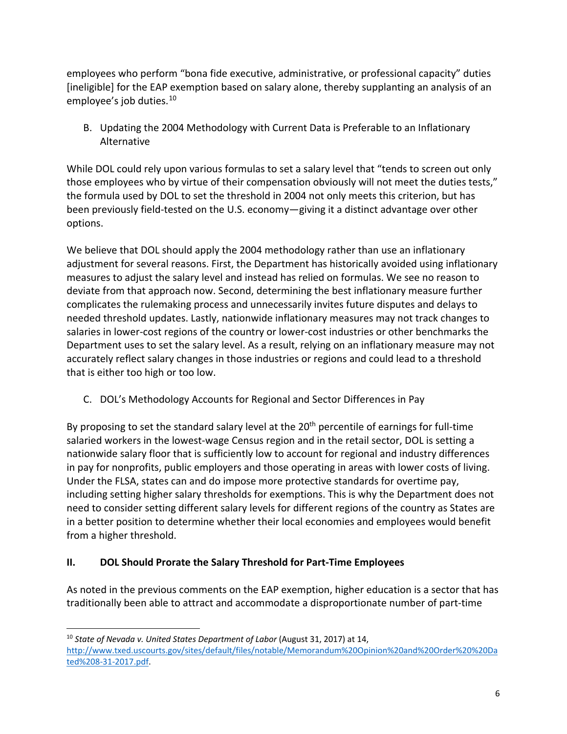employees who perform "bona fide executive, administrative, or professional capacity" duties [ineligible] for the EAP exemption based on salary alone, thereby supplanting an analysis of an employee's job duties.<sup>[10](#page-5-0)</sup>

B. Updating the 2004 Methodology with Current Data is Preferable to an Inflationary Alternative

While DOL could rely upon various formulas to set a salary level that "tends to screen out only those employees who by virtue of their compensation obviously will not meet the duties tests," the formula used by DOL to set the threshold in 2004 not only meets this criterion, but has been previously field-tested on the U.S. economy—giving it a distinct advantage over other options.

We believe that DOL should apply the 2004 methodology rather than use an inflationary adjustment for several reasons. First, the Department has historically avoided using inflationary measures to adjust the salary level and instead has relied on formulas. We see no reason to deviate from that approach now. Second, determining the best inflationary measure further complicates the rulemaking process and unnecessarily invites future disputes and delays to needed threshold updates. Lastly, nationwide inflationary measures may not track changes to salaries in lower-cost regions of the country or lower-cost industries or other benchmarks the Department uses to set the salary level. As a result, relying on an inflationary measure may not accurately reflect salary changes in those industries or regions and could lead to a threshold that is either too high or too low.

C. DOL's Methodology Accounts for Regional and Sector Differences in Pay

By proposing to set the standard salary level at the  $20<sup>th</sup>$  percentile of earnings for full-time salaried workers in the lowest-wage Census region and in the retail sector, DOL is setting a nationwide salary floor that is sufficiently low to account for regional and industry differences in pay for nonprofits, public employers and those operating in areas with lower costs of living. Under the FLSA, states can and do impose more protective standards for overtime pay, including setting higher salary thresholds for exemptions. This is why the Department does not need to consider setting different salary levels for different regions of the country as States are in a better position to determine whether their local economies and employees would benefit from a higher threshold.

# **II. DOL Should Prorate the Salary Threshold for Part-Time Employees**

As noted in the previous comments on the EAP exemption, higher education is a sector that has traditionally been able to attract and accommodate a disproportionate number of part-time

<span id="page-5-0"></span> $\overline{a}$ <sup>10</sup> State of Nevada v. United States Department of Labor (August 31, 2017) at 14, [http://www.txed.uscourts.gov/sites/default/files/notable/Memorandum%20Opinion%20and%20Order%20%20Da](http://www.txed.uscourts.gov/sites/default/files/notable/Memorandum%20Opinion%20and%20Order%20%20Dated%208-31-2017.pdf) [ted%208-31-2017.pdf.](http://www.txed.uscourts.gov/sites/default/files/notable/Memorandum%20Opinion%20and%20Order%20%20Dated%208-31-2017.pdf)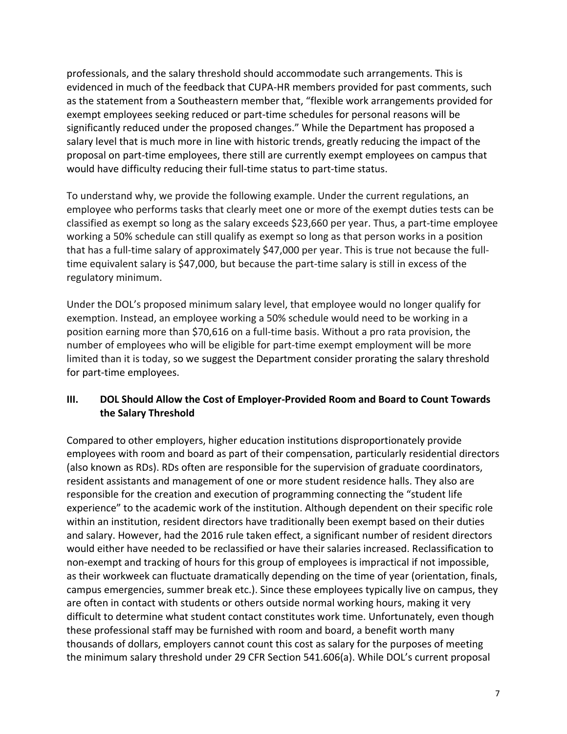professionals, and the salary threshold should accommodate such arrangements. This is evidenced in much of the feedback that CUPA-HR members provided for past comments, such as the statement from a Southeastern member that, "flexible work arrangements provided for exempt employees seeking reduced or part-time schedules for personal reasons will be significantly reduced under the proposed changes." While the Department has proposed a salary level that is much more in line with historic trends, greatly reducing the impact of the proposal on part-time employees, there still are currently exempt employees on campus that would have difficulty reducing their full-time status to part-time status.

To understand why, we provide the following example. Under the current regulations, an employee who performs tasks that clearly meet one or more of the exempt duties tests can be classified as exempt so long as the salary exceeds \$23,660 per year. Thus, a part-time employee working a 50% schedule can still qualify as exempt so long as that person works in a position that has a full-time salary of approximately \$47,000 per year. This is true not because the fulltime equivalent salary is \$47,000, but because the part-time salary is still in excess of the regulatory minimum.

Under the DOL's proposed minimum salary level, that employee would no longer qualify for exemption. Instead, an employee working a 50% schedule would need to be working in a position earning more than \$70,616 on a full-time basis. Without a pro rata provision, the number of employees who will be eligible for part-time exempt employment will be more limited than it is today, so we suggest the Department consider prorating the salary threshold for part-time employees.

# **III. DOL Should Allow the Cost of Employer-Provided Room and Board to Count Towards the Salary Threshold**

Compared to other employers, higher education institutions disproportionately provide employees with room and board as part of their compensation, particularly residential directors (also known as RDs). RDs often are responsible for the supervision of graduate coordinators, resident assistants and management of one or more student residence halls. They also are responsible for the creation and execution of programming connecting the "student life experience" to the academic work of the institution. Although dependent on their specific role within an institution, resident directors have traditionally been exempt based on their duties and salary. However, had the 2016 rule taken effect, a significant number of resident directors would either have needed to be reclassified or have their salaries increased. Reclassification to non-exempt and tracking of hours for this group of employees is impractical if not impossible, as their workweek can fluctuate dramatically depending on the time of year (orientation, finals, campus emergencies, summer break etc.). Since these employees typically live on campus, they are often in contact with students or others outside normal working hours, making it very difficult to determine what student contact constitutes work time. Unfortunately, even though these professional staff may be furnished with room and board, a benefit worth many thousands of dollars, employers cannot count this cost as salary for the purposes of meeting the minimum salary threshold under 29 CFR Section 541.606(a). While DOL's current proposal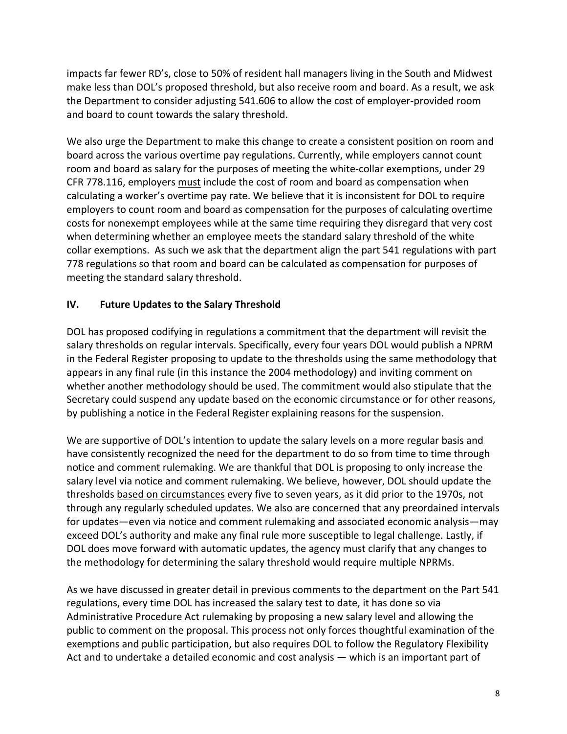impacts far fewer RD's, close to 50% of resident hall managers living in the South and Midwest make less than DOL's proposed threshold, but also receive room and board. As a result, we ask the Department to consider adjusting 541.606 to allow the cost of employer-provided room and board to count towards the salary threshold.

We also urge the Department to make this change to create a consistent position on room and board across the various overtime pay regulations. Currently, while employers cannot count room and board as salary for the purposes of meeting the white-collar exemptions, under 29 CFR 778.116, employers must include the cost of room and board as compensation when calculating a worker's overtime pay rate. We believe that it is inconsistent for DOL to require employers to count room and board as compensation for the purposes of calculating overtime costs for nonexempt employees while at the same time requiring they disregard that very cost when determining whether an employee meets the standard salary threshold of the white collar exemptions. As such we ask that the department align the part 541 regulations with part 778 regulations so that room and board can be calculated as compensation for purposes of meeting the standard salary threshold.

# **IV. Future Updates to the Salary Threshold**

DOL has proposed codifying in regulations a commitment that the department will revisit the salary thresholds on regular intervals. Specifically, every four years DOL would publish a NPRM in the Federal Register proposing to update to the thresholds using the same methodology that appears in any final rule (in this instance the 2004 methodology) and inviting comment on whether another methodology should be used. The commitment would also stipulate that the Secretary could suspend any update based on the economic circumstance or for other reasons, by publishing a notice in the Federal Register explaining reasons for the suspension.

We are supportive of DOL's intention to update the salary levels on a more regular basis and have consistently recognized the need for the department to do so from time to time through notice and comment rulemaking. We are thankful that DOL is proposing to only increase the salary level via notice and comment rulemaking. We believe, however, DOL should update the thresholds based on circumstances every five to seven years, as it did prior to the 1970s, not through any regularly scheduled updates. We also are concerned that any preordained intervals for updates—even via notice and comment rulemaking and associated economic analysis—may exceed DOL's authority and make any final rule more susceptible to legal challenge. Lastly, if DOL does move forward with automatic updates, the agency must clarify that any changes to the methodology for determining the salary threshold would require multiple NPRMs.

As we have discussed in greater detail in previous comments to the department on the Part 541 regulations, every time DOL has increased the salary test to date, it has done so via Administrative Procedure Act rulemaking by proposing a new salary level and allowing the public to comment on the proposal. This process not only forces thoughtful examination of the exemptions and public participation, but also requires DOL to follow the Regulatory Flexibility Act and to undertake a detailed economic and cost analysis — which is an important part of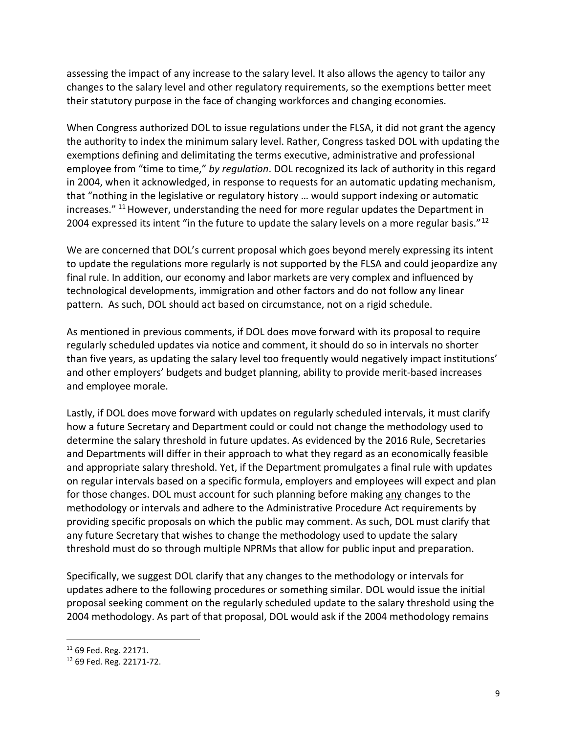assessing the impact of any increase to the salary level. It also allows the agency to tailor any changes to the salary level and other regulatory requirements, so the exemptions better meet their statutory purpose in the face of changing workforces and changing economies.

When Congress authorized DOL to issue regulations under the FLSA, it did not grant the agency the authority to index the minimum salary level. Rather, Congress tasked DOL with updating the exemptions defining and delimitating the terms executive, administrative and professional employee from "time to time," *by regulation*. DOL recognized its lack of authority in this regard in 2004, when it acknowledged, in response to requests for an automatic updating mechanism, that "nothing in the legislative or regulatory history … would support indexing or automatic increases." <sup>[11](#page-8-0)</sup> However, understanding the need for more regular updates the Department in 2004 expressed its intent "in the future to update the salary levels on a more regular basis."<sup>[12](#page-8-1)</sup>

We are concerned that DOL's current proposal which goes beyond merely expressing its intent to update the regulations more regularly is not supported by the FLSA and could jeopardize any final rule. In addition, our economy and labor markets are very complex and influenced by technological developments, immigration and other factors and do not follow any linear pattern. As such, DOL should act based on circumstance, not on a rigid schedule.

As mentioned in previous comments, if DOL does move forward with its proposal to require regularly scheduled updates via notice and comment, it should do so in intervals no shorter than five years, as updating the salary level too frequently would negatively impact institutions' and other employers' budgets and budget planning, ability to provide merit-based increases and employee morale.

Lastly, if DOL does move forward with updates on regularly scheduled intervals, it must clarify how a future Secretary and Department could or could not change the methodology used to determine the salary threshold in future updates. As evidenced by the 2016 Rule, Secretaries and Departments will differ in their approach to what they regard as an economically feasible and appropriate salary threshold. Yet, if the Department promulgates a final rule with updates on regular intervals based on a specific formula, employers and employees will expect and plan for those changes. DOL must account for such planning before making any changes to the methodology or intervals and adhere to the Administrative Procedure Act requirements by providing specific proposals on which the public may comment. As such, DOL must clarify that any future Secretary that wishes to change the methodology used to update the salary threshold must do so through multiple NPRMs that allow for public input and preparation.

Specifically, we suggest DOL clarify that any changes to the methodology or intervals for updates adhere to the following procedures or something similar. DOL would issue the initial proposal seeking comment on the regularly scheduled update to the salary threshold using the 2004 methodology. As part of that proposal, DOL would ask if the 2004 methodology remains

 $\overline{a}$ 

<span id="page-8-0"></span><sup>11</sup> 69 Fed. Reg. 22171.

<span id="page-8-1"></span><sup>12</sup> 69 Fed. Reg. 22171-72.